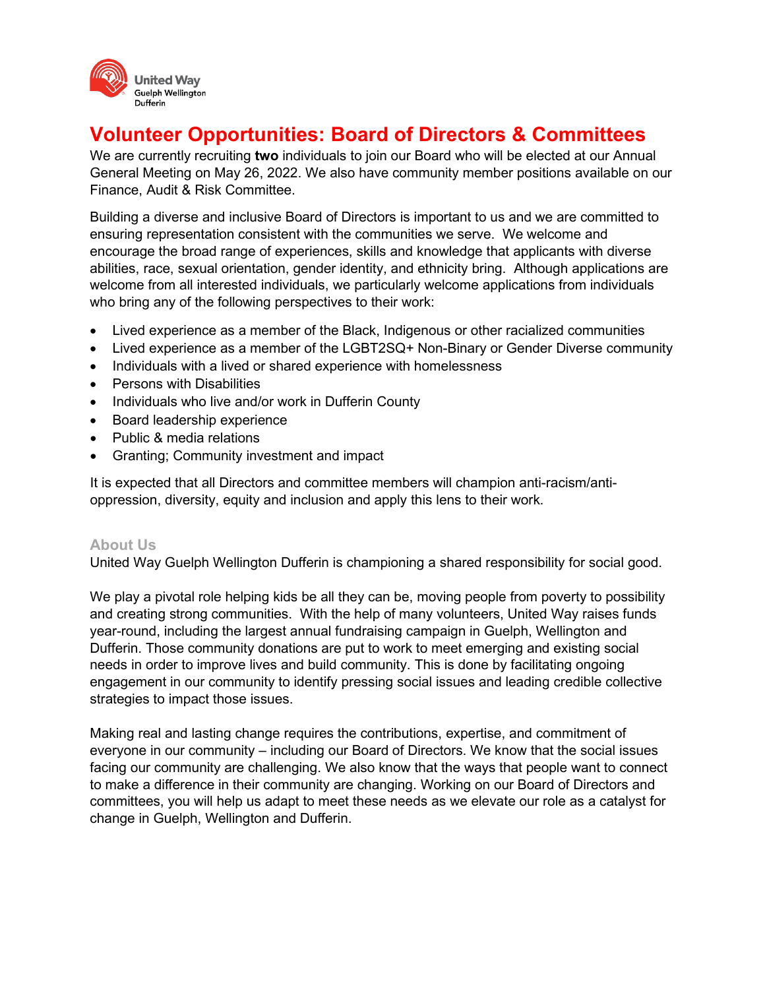

# **Volunteer Opportunities: Board of Directors & Committees**

We are currently recruiting **two** individuals to join our Board who will be elected at our Annual General Meeting on May 26, 2022. We also have community member positions available on our Finance, Audit & Risk Committee.

Building a diverse and inclusive Board of Directors is important to us and we are committed to ensuring representation consistent with the communities we serve. We welcome and encourage the broad range of experiences, skills and knowledge that applicants with diverse abilities, race, sexual orientation, gender identity, and ethnicity bring. Although applications are welcome from all interested individuals, we particularly welcome applications from individuals who bring any of the following perspectives to their work:

- Lived experience as a member of the Black, Indigenous or other racialized communities
- Lived experience as a member of the LGBT2SQ+ Non-Binary or Gender Diverse community
- Individuals with a lived or shared experience with homelessness
- Persons with Disabilities
- Individuals who live and/or work in Dufferin County
- Board leadership experience
- Public & media relations
- Granting; Community investment and impact

It is expected that all Directors and committee members will champion anti-racism/antioppression, diversity, equity and inclusion and apply this lens to their work.

#### **About Us**

United Way Guelph Wellington Dufferin is championing a shared responsibility for social good.

We play a pivotal role helping kids be all they can be, moving people from poverty to possibility and creating strong communities. With the help of many volunteers, United Way raises funds year-round, including the largest annual fundraising campaign in Guelph, Wellington and Dufferin. Those community donations are put to work to meet emerging and existing social needs in order to improve lives and build community. This is done by facilitating ongoing engagement in our community to identify pressing social issues and leading credible collective strategies to impact those issues.

Making real and lasting change requires the contributions, expertise, and commitment of everyone in our community – including our Board of Directors. We know that the social issues facing our community are challenging. We also know that the ways that people want to connect to make a difference in their community are changing. Working on our Board of Directors and committees, you will help us adapt to meet these needs as we elevate our role as a catalyst for change in Guelph, Wellington and Dufferin.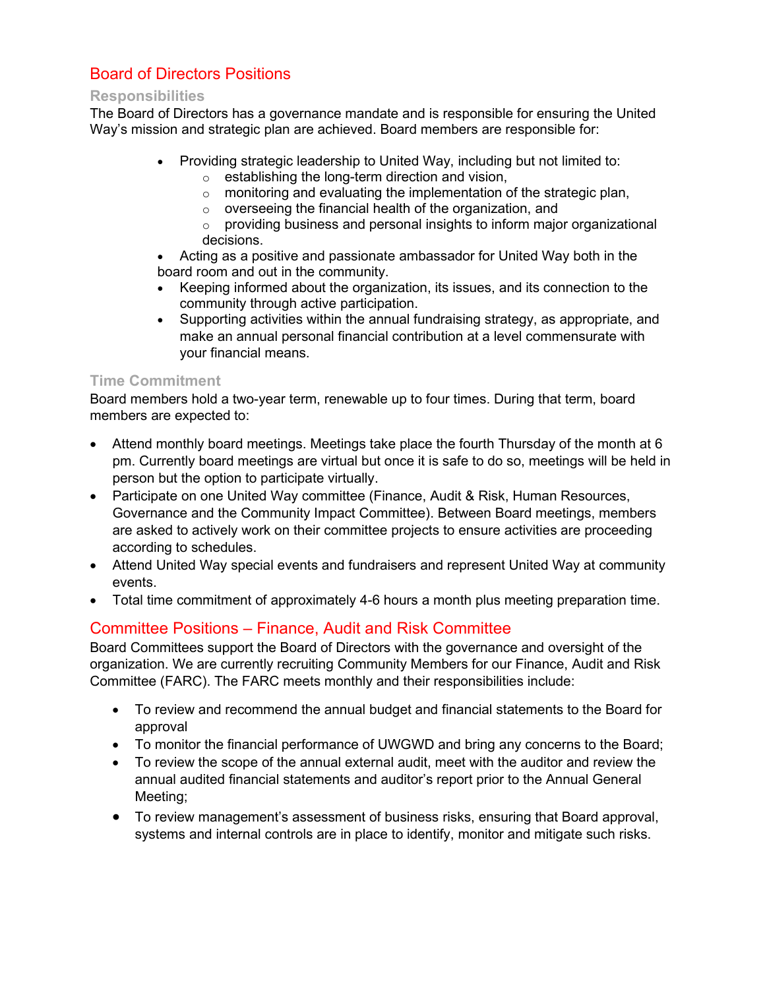## Board of Directors Positions

#### **Responsibilities**

The Board of Directors has a governance mandate and is responsible for ensuring the United Way's mission and strategic plan are achieved. Board members are responsible for:

- Providing strategic leadership to United Way, including but not limited to:
	- o establishing the long-term direction and vision,
	- o monitoring and evaluating the implementation of the strategic plan,
	- o overseeing the financial health of the organization, and
	- $\circ$  providing business and personal insights to inform major organizational decisions.
- Acting as a positive and passionate ambassador for United Way both in the board room and out in the community.
- Keeping informed about the organization, its issues, and its connection to the community through active participation.
- Supporting activities within the annual fundraising strategy, as appropriate, and make an annual personal financial contribution at a level commensurate with your financial means.

### **Time Commitment**

Board members hold a two-year term, renewable up to four times. During that term, board members are expected to:

- Attend monthly board meetings. Meetings take place the fourth Thursday of the month at 6 pm. Currently board meetings are virtual but once it is safe to do so, meetings will be held in person but the option to participate virtually.
- Participate on one United Way committee (Finance, Audit & Risk, Human Resources, Governance and the Community Impact Committee). Between Board meetings, members are asked to actively work on their committee projects to ensure activities are proceeding according to schedules.
- Attend United Way special events and fundraisers and represent United Way at community events.
- Total time commitment of approximately 4-6 hours a month plus meeting preparation time.

## Committee Positions – Finance, Audit and Risk Committee

Board Committees support the Board of Directors with the governance and oversight of the organization. We are currently recruiting Community Members for our Finance, Audit and Risk Committee (FARC). The FARC meets monthly and their responsibilities include:

- To review and recommend the annual budget and financial statements to the Board for approval
- To monitor the financial performance of UWGWD and bring any concerns to the Board;
- To review the scope of the annual external audit, meet with the auditor and review the annual audited financial statements and auditor's report prior to the Annual General Meeting;
- To review management's assessment of business risks, ensuring that Board approval, systems and internal controls are in place to identify, monitor and mitigate such risks.